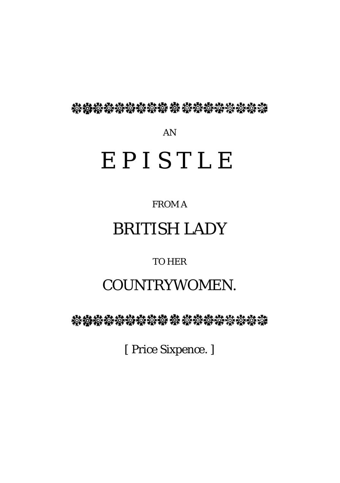**檊橃櫒櫒铮镣辚辏 梭 梭鏬櫒赞梭櫒臻** 

AN

# EPISTLE

FROM A

# BRITISH LADY

TO HER

## COUNTRYWOMEN.

**轮楼楼楼楼楼楼 梭 楼楼楼楼楼楼楼楼** 

[ Price Sixpence. ]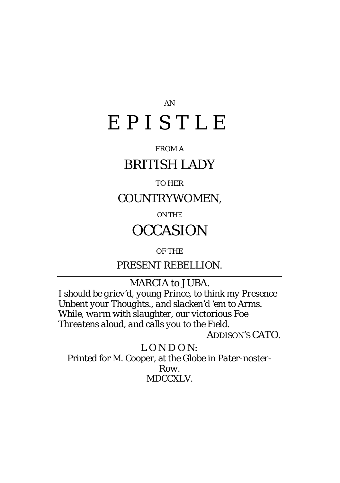# AN EPISTLE

#### FROM A

### BRITISH LADY

#### TO HER

COUNTRYWOMEN,

ON THE

### **OCCASION**

OF THE

PRESENT REBELLION.

M*A*RCIA to JUBA.

*I should be griev'd, young Prince*, *to think my Presence Unbent your Thoughts., and slacken'd 'em to Arms. While*, *warm with slaughter, our victorious Foe Threatens aloud*, *and calls you to the Field*.

ADDISON'S CATO.

*L O N D O N:* Printed for M. Cooper, at the *Globe* in *Pater-noster-Row.* MDCCXLV.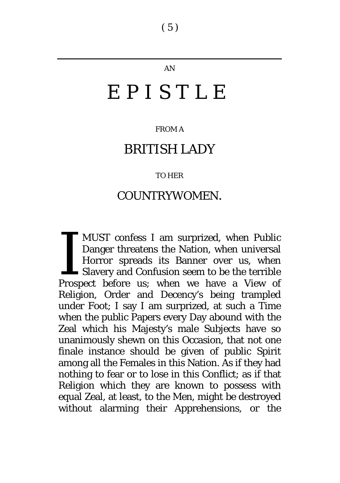#### AN

# EPISTLE

#### FROM A

### BRITISH LADY

#### TO HER

### COUNTRYWOMEN.

MUST confess I am surprized, when Public Danger threatens the Nation, when universal Horror spreads its Banner over us, when Slavery and Confusion seem to be the terrible MUST confess I am surprized, when Public<br>Danger threatens the Nation, when universal<br>Horror spreads its Banner over us, when<br>Slavery and Confusion seem to be the terrible<br>Prospect before us; when we have a View of Religion, Order and Decency's being trampled under Foot; I say I am surprized, at such a Time when the public Papers every Day abound with the Zeal which his Majesty's male Subjects have so unanimously shewn on this Occasion, that not one finale instance should be given of public Spirit among all the Females in this Nation. As if they had nothing to fear or to lose in this Conflict; as if that Religion which they are known to possess with equal Zeal, at least, to the Men, might be destroyed without alarming their Apprehensions, or the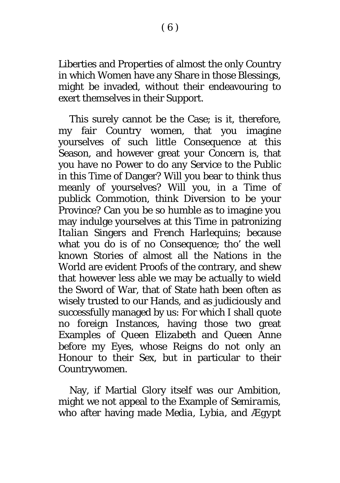Liberties and Properties of almost the only Country in which Women have any Share in those Blessings, might be invaded, without their endeavouring to exert themselves in their Support.

This surely cannot be the Case; is it, therefore, my fair Country women, that you imagine yourselves of such little Consequence at this Season, and however great your Concern is, that you have no Power to do any Service to the Public in this Time of Danger? Will you bear to think thus meanly of yourselves? Will you, in a Time of publick Commotion, think Diversion to be your Province? Can you be so humble as to imagine you may indulge yourselves at this Time in patronizing *Italian* Singers and *French* Harlequins; because what you do is of no Consequence; tho' the well known Stories of almost all the Nations in the World are evident Proofs of the contrary, and shew that however less able we may be actually to wield the Sword of War, that of State hath been often as wisely trusted to our Hands, and as judiciously and successfully managed by us: For which I shall quote no foreign Instances, having those two great Examples of Queen *Elizabeth* and Queen *Anne* before my Eyes, whose Reigns do not only an Honour to their Sex, but in particular to their Countrywomen.

Nay, if Martial Glory itself was our Ambition, might we not appeal to the Example of *Semiramis,* who after having made *Media*, *Lybia,* and *Ægypt*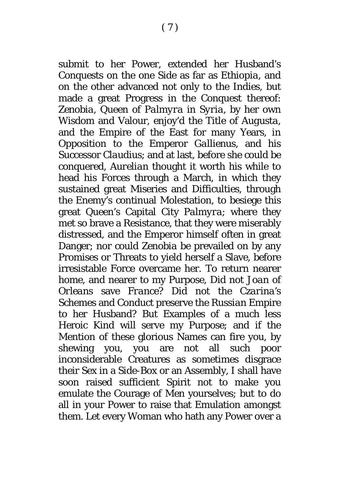submit to her Power, extended her Husband's Conquests on the one Side as far as *Ethiopia*, and on the other advanced not only to the *Indies*, but made a great Progress in the Conquest thereof: *Zenobia*, Queen of *Palmyra* in *Syria,* by her own Wisdom and Valour, enjoy'd the Title of *Augusta,* and the Empire of the East for many Years, in Opposition to the Emperor *Gallienus*, and his Successor *Claudius*; and at last, before she could be conquered, *Aurelian* thought it worth his while to head his Forces through a March, in which they sustained great Miseries and Difficulties, through the Enemy's continual Molestation, to besiege this great Queen's Capital City *Palmyra*; where they met so brave a Resistance, that they were miserably distressed, and the Emperor himself often in great Danger; nor could *Zenobia* be prevailed on by any Promises or Threats to yield herself a Slave, before irresistable Force overcame her. To return nearer home, and nearer to my Purpose, Did not *Joan* of *Orleans* save *France*? Did not the *Czarina's* Schemes and Conduct preserve the *Russian* Empire to her Husband? But Examples of a much less Heroic Kind will serve my Purpose; and if the Mention of these glorious Names can fire you, by shewing you, you are not all such poor inconsiderable Creatures as sometimes disgrace their Sex in a Side-Box or an Assembly, I shall have soon raised sufficient Spirit not to make you emulate the Courage of Men yourselves; but to do all in your Power to raise that Emulation amongst them. Let every Woman who hath any Power over a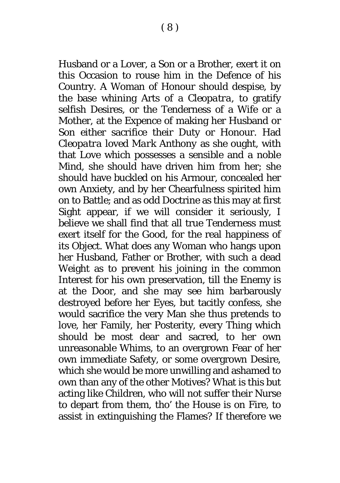Husband or a Lover, a Son or a Brother, exert it on this Occasion to rouse him in the Defence of his Country. A Woman of Honour should despise, by the base whining Arts of a *Cleopatra,* to gratify selfish Desires, or the Tenderness of a Wife or a Mother, at the Expence of making her Husband or Son either sacrifice their Duty or Honour. Had *Cleopatra* loved *Mark Anthony* as she ought, with that Love which possesses a sensible and a noble Mind, she should have driven him from her; she should have buckled on his Armour, concealed her own Anxiety, and by her Chearfulness spirited him on to Battle; and as odd Doctrine as this may at first Sight appear, if we will consider it seriously, I believe we shall find that all true Tenderness must exert itself for the Good, for the real happiness of its Object. What does any Woman who hangs upon her Husband, Father or Brother, with such a dead Weight as to prevent his joining in the common Interest for his own preservation, till the Enemy is at the Door, and she may see him barbarously destroyed before her Eyes, but tacitly confess, she would sacrifice the very Man she thus pretends to love, her Family, her Posterity, every Thing which should be most dear and sacred, to her own unreasonable Whims, to an overgrown Fear of her own immediate Safety, or some overgrown Desire, which she would be more unwilling and ashamed to own than any of the other Motives? What is this but acting like Children, who will not suffer their Nurse to depart from them, tho' the House is on Fire, to assist in extinguishing the Flames? If therefore we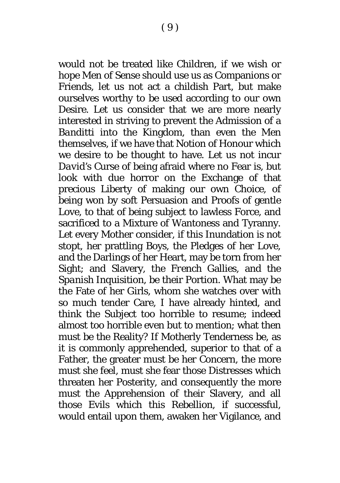would not be treated like Children, if we wish or hope Men of Sense should use us as Companions or Friends, let us not act a childish Part, but make

ourselves worthy to be used according to our own Desire. Let us consider that we are more nearly interested in striving to prevent the Admission of a *Banditti* into the Kingdom, than even the Men themselves, if we have that Notion of Honour which we desire to be thought to have. Let us not incur *David's* Curse of being afraid where no Fear is*,* but look with due horror on the Exchange of that precious Liberty of making our own Choice, of being won by soft Persuasion and Proofs of gentle Love, to that of being subject to lawless Force, and sacrificed to a Mixture of Wantoness and Tyranny. Let every Mother consider, if this Inundation is not stopt, her prattling Boys, the Pledges of her Love, and the Darlings of her Heart, may be torn from her Sight; and Slavery, the *French* Gallies, and the *Spanish* Inquisition, be their Portion. What may be the Fate of her Girls, whom she watches over with so much tender Care, I have already hinted, and think the Subject too horrible to resume; indeed almost too horrible even but to mention; what then must be the Reality? If Motherly Tenderness be, as it is commonly apprehended, superior to that of a Father, the greater must be her Concern, the more must she feel, must she fear those Distresses which threaten her Posterity, and consequently the more must the Apprehension of their Slavery, and all those Evils which this Rebellion, if successful, would entail upon them, awaken her Vigilance, and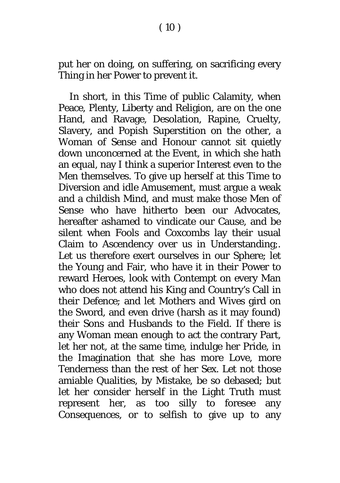$(10)$ 

put her on doing, on suffering, on sacrificing every Thing in her Power to prevent it.

In short, in this Time of public Calamity, when Peace, Plenty, Liberty and Religion, are on the one Hand, and Ravage, Desolation, Rapine, Cruelty, Slavery, and Popish Superstition on the other, a Woman of Sense and Honour cannot sit quietly down unconcerned at the Event, in which she hath an equal, nay I think a superior Interest even to the Men themselves. To give up herself at this Time to Diversion and idle Amusement, must argue a weak and a childish Mind, and must make those Men of Sense who have hitherto been our Advocates, hereafter ashamed to vindicate our Cause, and be silent when Fools and Coxcombs lay their usual Claim to Ascendency over us in Understanding;. Let us therefore exert ourselves in our Sphere; let the Young and Fair, who have it in their Power to reward Heroes, look with Contempt on every Man who does not attend his King and Country's Call in their Defence; and let Mothers and Wives gird on the Sword, and even drive (harsh as it may found) their Sons and Husbands to the Field. If there is any Woman mean enough to act the contrary Part, let her not, at the same time, indulge her Pride, in the Imagination that she has more Love, more Tenderness than the rest of her Sex. Let not those amiable Qualities, by Mistake, be so debased; but let her consider herself in the Light Truth must represent her, as too silly to foresee any Consequences, or to selfish to give up to any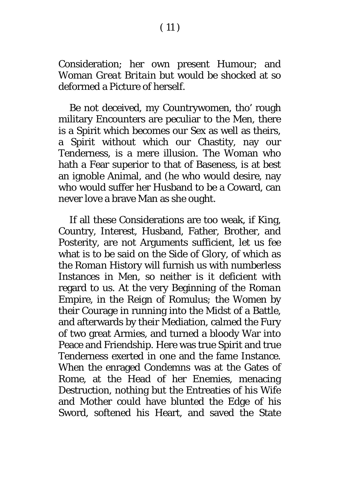### Consideration; her own present Humour; and Woman *Great Britain* but would be shocked at so deformed a Picture of herself.

Be not deceived, my Countrywomen, tho' rough military Encounters are peculiar to the Men, there is a Spirit which becomes our Sex as well as theirs, a Spirit without which our Chastity, nay our Tenderness, is a mere illusion. The Woman who hath a Fear superior to that of Baseness, is at best an ignoble Animal, and (he who would desire, nay who would suffer her Husband to be a Coward, can never love a brave Man as she ought.

If all these Considerations are too weak, if King, Country, Interest, Husband, Father, Brother, and Posterity, are not Arguments sufficient, let us fee what is to be said on the Side of Glory, of which as the *Roman* History will furnish us with numberless Instances in Men, so neither is it deficient with regard to us. At the very Beginning of the *Roman* Empire, in the Reign of *Romulus;* the Women by their Courage in running into the Midst of a Battle, and afterwards by their Mediation, calmed the Fury of two great Armies, and turned a bloody War into Peace and Friendship. Here was true Spirit and true Tenderness exerted in one and the fame Instance. When the enraged *Condemns* was at the Gates of *Rome*, at the Head of her Enemies, menacing Destruction, nothing but the Entreaties of his Wife and Mother could have blunted the Edge of his Sword, softened his Heart, and saved the State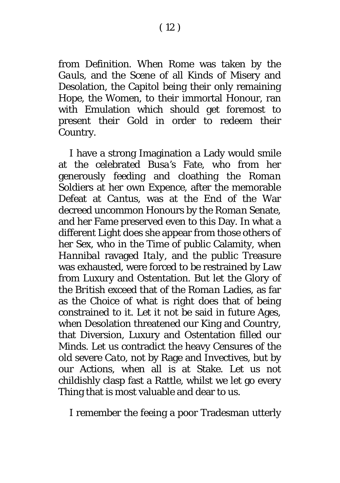from Definition. When *Rome* was taken by the *Gauls,* and the Scene of all Kinds of Misery and Desolation, the Capitol being their only remaining Hope, the Women, to their immortal Honour, ran with Emulation which should get foremost to present their Gold in order to redeem their Country.

I have a strong Imagination a Lady would smile at the celebrated *Busa's* Fate, who from her generously feeding and cloathing the *Roman* Soldiers at her own Expence, after the memorable Defeat at *Cantus*, was at the End of the War decreed uncommon Honours by the *Roman* Senate, and her Fame preserved even to this Day. In what a different Light does she appear from those others of her Sex, who in the Time of public Calamity, when *Hannibal* ravaged *Italy,* and the public Treasure was exhausted, were forced to be restrained by Law from Luxury and Ostentation. But let the Glory of the *British* exceed that of the *Roman* Ladies, as far as the Choice of what is right does that of being constrained to it. Let it not be said in future Ages, when Desolation threatened our King and Country, that Diversion, Luxury and Ostentation filled our Minds. Let us contradict the heavy Censures of the old severe *Cato,* not by Rage and Invectives, but by our Actions, when all is at Stake. Let us not childishly clasp fast a Rattle, whilst we let go every Thing that is most valuable and dear to us.

I remember the feeing a poor Tradesman utterly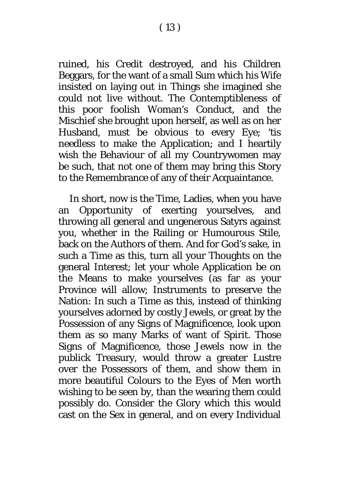( 13 )

ruined, his Credit destroyed, and his Children Beggars, for the want of a small Sum which his Wife insisted on laying out in Things she imagined she could not live without. The Contemptibleness of this poor foolish Woman's Conduct, and the Mischief she brought upon herself, as well as on her Husband, must be obvious to every Eye; 'tis needless to make the Application; and I heartily wish the Behaviour of all my Countrywomen may be such, that not one of them may bring this Story to the Remembrance of any of their Acquaintance.

In short, now is the Time, Ladies, when you have an Opportunity of exerting yourselves, and throwing all general and ungenerous Satyrs against you, whether in the Railing or Humourous Stile, back on the Authors of them. And for God's sake, in such a Time as this, turn all your Thoughts on the general Interest; let your whole Application be on the Means to make yourselves (as far as your Province will allow; Instruments to preserve the Nation: In such a Time as this, instead of thinking yourselves adorned by costly Jewels, or great by the Possession of any Signs of Magnificence, look upon them as so many Marks of want of Spirit. Those Signs of Magnificence, those Jewels now in the publick Treasury, would throw a greater Lustre over the Possessors of them, and show them in more beautiful Colours to the Eyes of Men worth wishing to be seen by, than the wearing them could possibly do. Consider the Glory which this would cast on the Sex in general, and on every Individual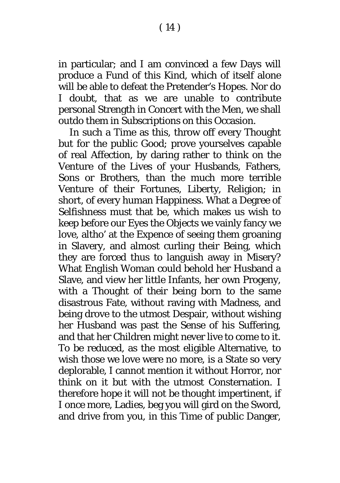in particular; and I am convinced a few Days will produce a Fund of this Kind, which of itself alone will be able to defeat the Pretender's Hopes. Nor do I doubt, that as we are unable to contribute personal Strength in Concert with the Men, we shall outdo them in Subscriptions on this Occasion.

In such a Time as this, throw off every Thought but for the public Good; prove yourselves capable of real Affection, by daring rather to think on the Venture of the Lives of your Husbands, Fathers, Sons or Brothers, than the much more terrible Venture of their Fortunes, Liberty, Religion; in short, of every human Happiness. What a Degree of Selfishness must that be, which makes us wish to keep before our Eyes the Objects we vainly fancy we love, altho' at the Expence of seeing them groaning in Slavery, and almost curling their Being, which they are forced thus to languish away in Misery? What *English* Woman could behold her Husband a Slave, and view her little Infants, her own Progeny, with a Thought of their being born to the same disastrous Fate, without raving with Madness, and being drove to the utmost Despair, without wishing her Husband was past the Sense of his Suffering, and that her Children might never live to come to it. To be reduced, as the most eligible Alternative, to wish those we love were no more, is a State so very deplorable, I cannot mention it without Horror, nor think on it but with the utmost Consternation. I therefore hope it will not be thought impertinent, if I once more, Ladies, beg you will gird on the Sword, and drive from you, in this Time of public Danger,